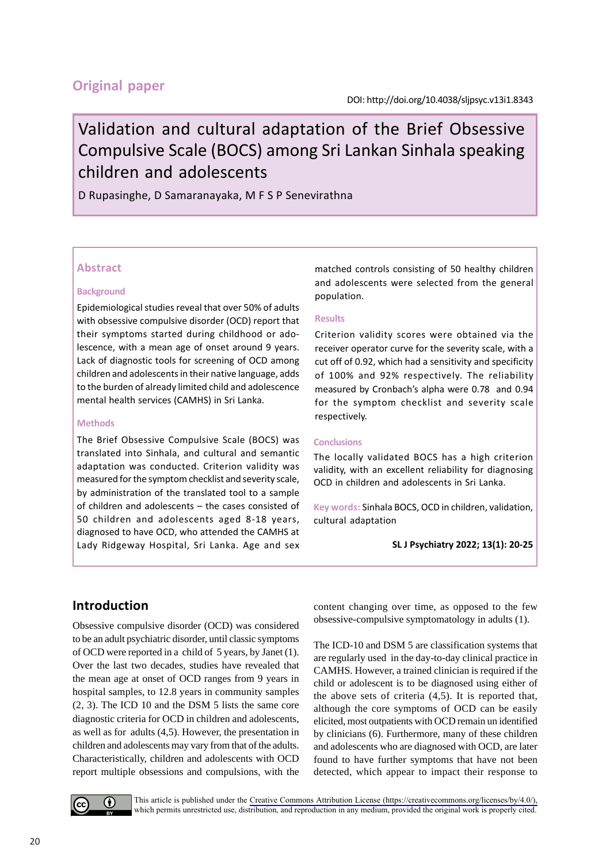# **Original paper**

# Validation and cultural adaptation of the Brief Obsessive Compulsive Scale (BOCS) among Sri Lankan Sinhala speaking children and adolescents

D Rupasinghe, D Samaranayaka, M F S P Senevirathna

#### **Abstract**

#### **Background**

Epidemiological studies reveal that over 50% of adults with obsessive compulsive disorder (OCD) report that their symptoms started during childhood or adolescence, with a mean age of onset around 9 years. Lack of diagnostic tools for screening of OCD among children and adolescents in their native language, adds to the burden of already limited child and adolescence mental health services (CAMHS) in Sri Lanka.

#### **Methods**

The Brief Obsessive Compulsive Scale (BOCS) was translated into Sinhala, and cultural and semantic adaptation was conducted. Criterion validity was measured for the symptom checklist and severity scale, by administration of the translated tool to a sample of children and adolescents – the cases consisted of 50 children and adolescents aged 8-18 years, diagnosed to have OCD, who attended the CAMHS at Lady Ridgeway Hospital, Sri Lanka. Age and sex matched controls consisting of 50 healthy children and adolescents were selected from the general population.

#### **Results**

Criterion validity scores were obtained via the receiver operator curve for the severity scale, with a cut off of 0.92, which had a sensitivity and specificity of 100% and 92% respectively. The reliability measured by Cronbach's alpha were 0.78 and 0.94 for the symptom checklist and severity scale respectively.

#### **Conclusions**

The locally validated BOCS has a high criterion validity, with an excellent reliability for diagnosing OCD in children and adolescents in Sri Lanka.

**Key words:** Sinhala BOCS, OCD in children, validation, cultural adaptation

**SL J Psychiatry 2022; 13(1): 20-25**

# **Introduction**

Obsessive compulsive disorder (OCD) was considered to be an adult psychiatric disorder, until classic symptoms of OCD were reported in a child of 5 years, by Janet (1). Over the last two decades, studies have revealed that the mean age at onset of OCD ranges from 9 years in hospital samples, to 12.8 years in community samples (2, 3). The ICD 10 and the DSM 5 lists the same core diagnostic criteria for OCD in children and adolescents, as well as for adults (4,5). However, the presentation in children and adolescents may vary from that of the adults. Characteristically, children and adolescents with OCD report multiple obsessions and compulsions, with the content changing over time, as opposed to the few obsessive-compulsive symptomatology in adults (1).

The ICD-10 and DSM 5 are classification systems that are regularly used in the day-to-day clinical practice in CAMHS. However, a trained clinician is required if the child or adolescent is to be diagnosed using either of the above sets of criteria (4,5). It is reported that, although the core symptoms of OCD can be easily elicited, most outpatients with OCD remain un identified by clinicians (6). Furthermore, many of these children and adolescents who are diagnosed with OCD, are later found to have further symptoms that have not been detected, which appear to impact their response to



This article is published under the [Creative Commons Attribution License \(https://creativecommons.org/licenses/by/4.0/\),](https://creativecommons.org/licenses/by/4.0/) which permits unrestricted use, distribution, and reproduction in any medium, provided the original work is properly cited.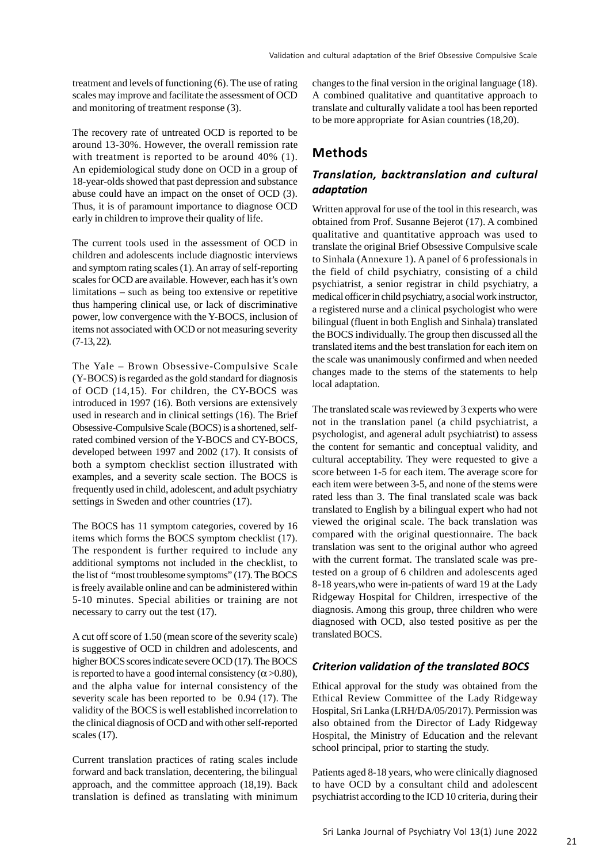treatment and levels of functioning (6). The use of rating scales may improve and facilitate the assessment of OCD and monitoring of treatment response (3).

The recovery rate of untreated OCD is reported to be around 13-30%. However, the overall remission rate with treatment is reported to be around 40% (1). An epidemiological study done on OCD in a group of 18-year-olds showed that past depression and substance abuse could have an impact on the onset of OCD (3). Thus, it is of paramount importance to diagnose OCD early in children to improve their quality of life.

The current tools used in the assessment of OCD in children and adolescents include diagnostic interviews and symptom rating scales (1). An array of self-reporting scales for OCD are available. However, each has it's own limitations – such as being too extensive or repetitive thus hampering clinical use, or lack of discriminative power, low convergence with the Y-BOCS, inclusion of items not associated with OCD or not measuring severity (7-13, 22).

The Yale – Brown Obsessive-Compulsive Scale (Y-BOCS) is regarded as the gold standard for diagnosis of OCD (14,15). For children, the CY-BOCS was introduced in 1997 (16). Both versions are extensively used in research and in clinical settings (16). The Brief Obsessive-Compulsive Scale (BOCS) is a shortened, selfrated combined version of the Y-BOCS and CY-BOCS, developed between 1997 and 2002 (17). It consists of both a symptom checklist section illustrated with examples, and a severity scale section. The BOCS is frequently used in child, adolescent, and adult psychiatry settings in Sweden and other countries (17).

The BOCS has 11 symptom categories, covered by 16 items which forms the BOCS symptom checklist (17). The respondent is further required to include any additional symptoms not included in the checklist, to the list of "most troublesome symptoms" (17). The BOCS is freely available online and can be administered within 5-10 minutes. Special abilities or training are not necessary to carry out the test (17).

A cut off score of 1.50 (mean score of the severity scale) is suggestive of OCD in children and adolescents, and higher BOCS scores indicate severe OCD (17). The BOCS is reported to have a good internal consistency ( $\alpha$  >0.80), and the alpha value for internal consistency of the severity scale has been reported to be 0.94 (17). The validity of the BOCS is well established incorrelation to the clinical diagnosis of OCD and with other self-reported scales (17).

Current translation practices of rating scales include forward and back translation, decentering, the bilingual approach, and the committee approach (18,19). Back translation is defined as translating with minimum changes to the final version in the original language (18). A combined qualitative and quantitative approach to translate and culturally validate a tool has been reported to be more appropriate for Asian countries (18,20).

### **Methods**

#### *Translation, backtranslation and cultural adaptation*

Written approval for use of the tool in this research, was obtained from Prof. Susanne Bejerot (17). A combined qualitative and quantitative approach was used to translate the original Brief Obsessive Compulsive scale to Sinhala (Annexure 1). A panel of 6 professionals in the field of child psychiatry, consisting of a child psychiatrist, a senior registrar in child psychiatry, a medical officer in child psychiatry, a social work instructor, a registered nurse and a clinical psychologist who were bilingual (fluent in both English and Sinhala) translated the BOCS individually. The group then discussed all the translated items and the best translation for each item on the scale was unanimously confirmed and when needed changes made to the stems of the statements to help local adaptation.

The translated scale was reviewed by 3 experts who were not in the translation panel (a child psychiatrist, a psychologist, and ageneral adult psychiatrist) to assess the content for semantic and conceptual validity, and cultural acceptability. They were requested to give a score between 1-5 for each item. The average score for each item were between 3-5, and none of the stems were rated less than 3. The final translated scale was back translated to English by a bilingual expert who had not viewed the original scale. The back translation was compared with the original questionnaire. The back translation was sent to the original author who agreed with the current format. The translated scale was pretested on a group of 6 children and adolescents aged 8-18 years,who were in-patients of ward 19 at the Lady Ridgeway Hospital for Children, irrespective of the diagnosis. Among this group, three children who were diagnosed with OCD, also tested positive as per the translated BOCS.

#### *Criterion validation of the translated BOCS*

Ethical approval for the study was obtained from the Ethical Review Committee of the Lady Ridgeway Hospital, Sri Lanka (LRH/DA/05/2017). Permission was also obtained from the Director of Lady Ridgeway Hospital, the Ministry of Education and the relevant school principal, prior to starting the study.

Patients aged 8-18 years, who were clinically diagnosed to have OCD by a consultant child and adolescent psychiatrist according to the ICD 10 criteria, during their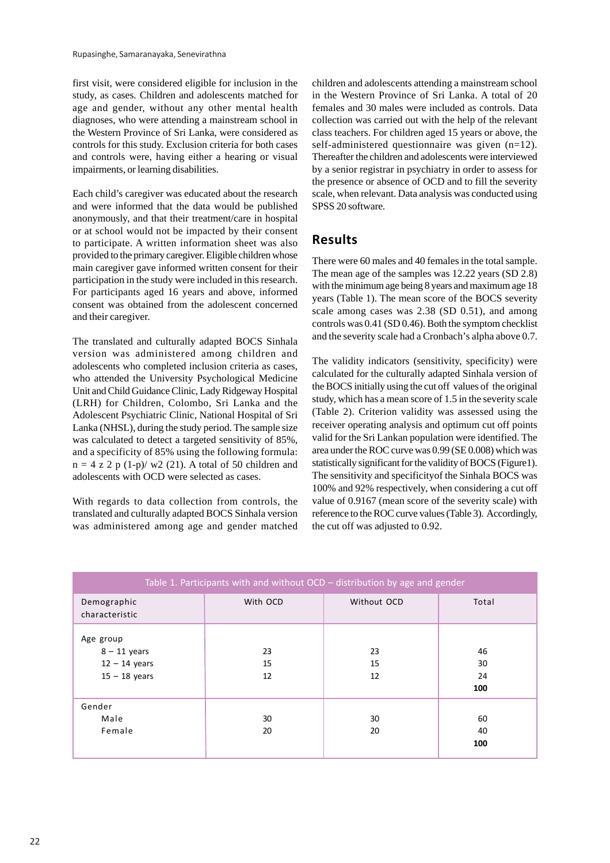first visit, were considered eligible for inclusion in the study, as cases. Children and adolescents matched for age and gender, without any other mental health diagnoses, who were attending a mainstream school in the Western Province of Sri Lanka, were considered as controls for this study. Exclusion criteria for both cases and controls were, having either a hearing or visual impairments, or learning disabilities.

Each child's caregiver was educated about the research and were informed that the data would be published anonymously, and that their treatment/care in hospital or at school would not be impacted by their consent to participate. A written information sheet was also provided to the primary caregiver. Eligible children whose main caregiver gave informed written consent for their participation in the study were included in this research. For participants aged 16 years and above, informed consent was obtained from the adolescent concerned and their caregiver.

The translated and culturally adapted BOCS Sinhala version was administered among children and adolescents who completed inclusion criteria as cases, who attended the University Psychological Medicine Unit and Child Guidance Clinic, Lady Ridgeway Hospital (LRH) for Children, Colombo, Sri Lanka and the Adolescent Psychiatric Clinic, National Hospital of Sri Lanka (NHSL), during the study period. The sample size was calculated to detect a targeted sensitivity of 85%, and a specificity of 85% using the following formula:  $n = 4$  z 2 p (1-p)/ w2 (21). A total of 50 children and adolescents with OCD were selected as cases.

With regards to data collection from controls, the translated and culturally adapted BOCS Sinhala version was administered among age and gender matched children and adolescents attending a mainstream school in the Western Province of Sri Lanka. A total of 20 females and 30 males were included as controls. Data collection was carried out with the help of the relevant class teachers. For children aged 15 years or above, the self-administered questionnaire was given (n=12). Thereafter the children and adolescents were interviewed by a senior registrar in psychiatry in order to assess for the presence or absence of OCD and to fill the severity scale, when relevant. Data analysis was conducted using SPSS 20 software.

### **Results**

There were 60 males and 40 females in the total sample. The mean age of the samples was 12.22 years (SD 2.8) with the minimum age being 8 years and maximum age 18 years (Table 1). The mean score of the BOCS severity scale among cases was 2.38 (SD 0.51), and among controls was 0.41 (SD 0.46). Both the symptom checklist and the severity scale had a Cronbach's alpha above 0.7.

The validity indicators (sensitivity, specificity) were calculated for the culturally adapted Sinhala version of the BOCS initially using the cut off values of the original study, which has a mean score of 1.5 in the severity scale (Table 2). Criterion validity was assessed using the receiver operating analysis and optimum cut off points valid for the Sri Lankan population were identified. The area under the ROC curve was 0.99 (SE 0.008) which was statistically significant for the validity of BOCS (Figure1). The sensitivity and specificityof the Sinhala BOCS was 100% and 92% respectively, when considering a cut off value of 0.9167 (mean score of the severity scale) with reference to the ROC curve values (Table 3). Accordingly, the cut off was adjusted to 0.92.

| Table 1. Participants with and without OCD - distribution by age and gender |                |                |                       |  |  |
|-----------------------------------------------------------------------------|----------------|----------------|-----------------------|--|--|
| Demographic<br>characteristic                                               | With OCD       | Without OCD    | Total                 |  |  |
| Age group<br>$8 - 11$ years<br>$12 - 14$ years<br>$15 - 18$ years           | 23<br>15<br>12 | 23<br>15<br>12 | 46<br>30<br>24<br>100 |  |  |
| Gender<br>Male<br>Female                                                    | 30<br>20       | 30<br>20       | 60<br>40<br>100       |  |  |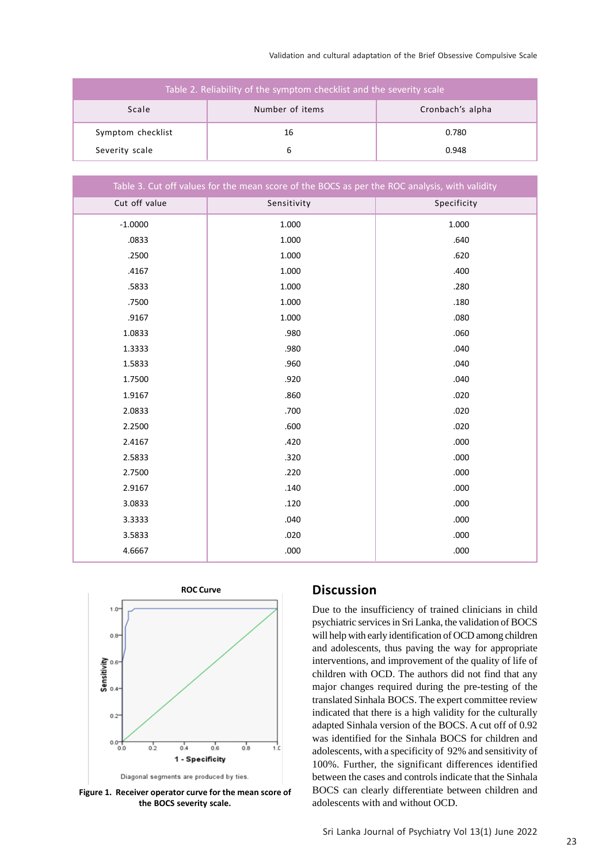Validation and cultural adaptation of the Brief Obsessive Compulsive Scale

| Table 2. Reliability of the symptom checklist and the severity scale |                 |                  |  |  |
|----------------------------------------------------------------------|-----------------|------------------|--|--|
| Scale                                                                | Number of items | Cronbach's alpha |  |  |
| Symptom checklist                                                    | 16              | 0.780            |  |  |
| Severity scale                                                       |                 | 0.948            |  |  |

| Table 3. Cut off values for the mean score of the BOCS as per the ROC analysis, with validity |             |             |  |  |
|-----------------------------------------------------------------------------------------------|-------------|-------------|--|--|
| Cut off value                                                                                 | Sensitivity | Specificity |  |  |
| $-1.0000$                                                                                     | 1.000       | 1.000       |  |  |
| .0833                                                                                         | 1.000       | .640        |  |  |
| .2500                                                                                         | 1.000       | .620        |  |  |
| .4167                                                                                         | 1.000       | .400        |  |  |
| .5833                                                                                         | 1.000       | .280        |  |  |
| .7500                                                                                         | 1.000       | .180        |  |  |
| .9167                                                                                         | 1.000       | .080        |  |  |
| 1.0833                                                                                        | .980        | .060        |  |  |
| 1.3333                                                                                        | .980        | .040        |  |  |
| 1.5833                                                                                        | .960        | .040        |  |  |
| 1.7500                                                                                        | .920        | .040        |  |  |
| 1.9167                                                                                        | .860        | .020        |  |  |
| 2.0833                                                                                        | .700        | .020        |  |  |
| 2.2500                                                                                        | .600        | .020        |  |  |
| 2.4167                                                                                        | .420        | .000        |  |  |
| 2.5833                                                                                        | .320        | .000        |  |  |
| 2.7500                                                                                        | .220        | .000        |  |  |
| 2.9167                                                                                        | .140        | .000        |  |  |
| 3.0833                                                                                        | .120        | .000        |  |  |
| 3.3333                                                                                        | .040        | .000        |  |  |
| 3.5833                                                                                        | .020        | .000        |  |  |
| 4.6667                                                                                        | .000        | .000        |  |  |



Diagonal segments are produced by ties.

**Figure 1. Receiver operator curve for the mean score of the BOCS severity scale.**

## **Discussion**

Due to the insufficiency of trained clinicians in child psychiatric services in Sri Lanka, the validation of BOCS will help with early identification of OCD among children and adolescents, thus paving the way for appropriate interventions, and improvement of the quality of life of children with OCD. The authors did not find that any major changes required during the pre-testing of the translated Sinhala BOCS. The expert committee review indicated that there is a high validity for the culturally adapted Sinhala version of the BOCS. A cut off of 0.92 was identified for the Sinhala BOCS for children and adolescents, with a specificity of 92% and sensitivity of 100%. Further, the significant differences identified between the cases and controls indicate that the Sinhala BOCS can clearly differentiate between children and adolescents with and without OCD.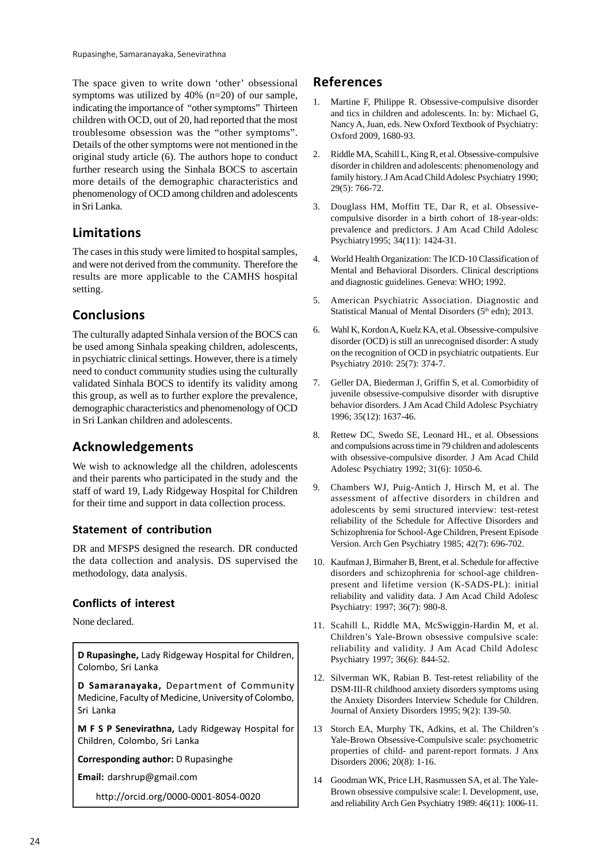The space given to write down 'other' obsessional symptoms was utilized by 40% (n=20) of our sample, indicating the importance of "other symptoms" Thirteen children with OCD, out of 20, had reported that the most troublesome obsession was the "other symptoms". Details of the other symptoms were not mentioned in the original study article (6). The authors hope to conduct further research using the Sinhala BOCS to ascertain more details of the demographic characteristics and phenomenology of OCD among children and adolescents in Sri Lanka.

### **Limitations**

The cases in this study were limited to hospital samples, and were not derived from the community. Therefore the results are more applicable to the CAMHS hospital setting.

# **Conclusions**

The culturally adapted Sinhala version of the BOCS can be used among Sinhala speaking children, adolescents, in psychiatric clinical settings. However, there is a timely need to conduct community studies using the culturally validated Sinhala BOCS to identify its validity among this group, as well as to further explore the prevalence, demographic characteristics and phenomenology of OCD in Sri Lankan children and adolescents.

### **Acknowledgements**

We wish to acknowledge all the children, adolescents and their parents who participated in the study and the staff of ward 19, Lady Ridgeway Hospital for Children for their time and support in data collection process.

#### **Statement of contribution**

DR and MFSPS designed the research. DR conducted the data collection and analysis. DS supervised the methodology, data analysis.

#### **Conflicts of interest**

None declared.

**D Rupasinghe,** Lady Ridgeway Hospital for Children, Colombo, Sri Lanka

**D Samaranayaka,** Department of Community Medicine, Faculty of Medicine, University of Colombo, Sri Lanka

**M F S P Senevirathna,** Lady Ridgeway Hospital for Children, Colombo, Sri Lanka

**Corresponding author:** D Rupasinghe

**Email:** darshrup@gmail.com

http://orcid.org/0000-0001-8054-0020

# **References**

- 1. Martine F, Philippe R. Obsessive-compulsive disorder and tics in children and adolescents. In: by: Michael G, Nancy A, Juan, eds. New Oxford Textbook of Psychiatry: Oxford 2009, 1680-93.
- 2. Riddle MA, Scahill L, King R, et al. Obsessive-compulsive disorder in children and adolescents: phenomenology and family history. J Am Acad Child Adolesc Psychiatry 1990; 29(5): 766-72.
- 3. Douglass HM, Moffitt TE, Dar R, et al. Obsessivecompulsive disorder in a birth cohort of 18-year-olds: prevalence and predictors. J Am Acad Child Adolesc Psychiatry1995; 34(11): 1424-31.
- 4. World Health Organization: The ICD-10 Classification of Mental and Behavioral Disorders. Clinical descriptions and diagnostic guidelines. Geneva: WHO; 1992.
- 5. American Psychiatric Association. Diagnostic and Statistical Manual of Mental Disorders (5<sup>th</sup> edn); 2013.
- 6. Wahl K, Kordon A, Kuelz KA, et al. Obsessive-compulsive disorder (OCD) is still an unrecognised disorder: A study on the recognition of OCD in psychiatric outpatients. Eur Psychiatry 2010: 25(7): 374-7.
- 7. Geller DA, Biederman J, Griffin S, et al. Comorbidity of juvenile obsessive-compulsive disorder with disruptive behavior disorders. J Am Acad Child Adolesc Psychiatry 1996; 35(12): 1637-46.
- 8. Rettew DC, Swedo SE, Leonard HL, et al. Obsessions and compulsions across time in 79 children and adolescents with obsessive-compulsive disorder. J Am Acad Child Adolesc Psychiatry 1992; 31(6): 1050-6.
- 9. Chambers WJ, Puig-Antich J, Hirsch M, et al. The assessment of affective disorders in children and adolescents by semi structured interview: test-retest reliability of the Schedule for Affective Disorders and Schizophrenia for School-Age Children, Present Episode Version. Arch Gen Psychiatry 1985; 42(7): 696-702.
- 10. Kaufman J, Birmaher B, Brent, et al. Schedule for affective disorders and schizophrenia for school-age childrenpresent and lifetime version (K-SADS-PL): initial reliability and validity data. J Am Acad Child Adolesc Psychiatry: 1997; 36(7): 980-8.
- 11. Scahill L, Riddle MA, McSwiggin-Hardin M, et al. Children's Yale-Brown obsessive compulsive scale: reliability and validity. J Am Acad Child Adolesc Psychiatry 1997; 36(6): 844-52.
- 12. Silverman WK, Rabian B. Test-retest reliability of the DSM-III-R childhood anxiety disorders symptoms using the Anxiety Disorders Interview Schedule for Children. Journal of Anxiety Disorders 1995; 9(2): 139-50.
- 13 Storch EA, Murphy TK, Adkins, et al. The Children's Yale-Brown Obsessive-Compulsive scale: psychometric properties of child- and parent-report formats. J Anx Disorders 2006; 20(8): 1-16.
- 14 Goodman WK, Price LH, Rasmussen SA, et al. The Yale-Brown obsessive compulsive scale: I. Development, use, and reliability Arch Gen Psychiatry 1989: 46(11): 1006-11.